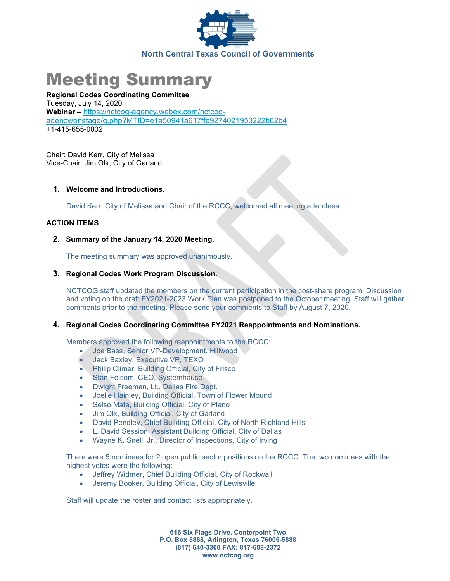

# Meeting Summary

Regional Codes Coordinating Committee Tuesday, July 14, 2020 Webinar – https://nctcog-agency.webex.com/nctcogagency/onstage/g.php?MTID=e1a50941a617ffe9274021953222b62b4 +1-415-655-0002

Chair: David Kerr, City of Melissa Vice-Chair: Jim Olk, City of Garland

#### 1. Welcome and Introductions.

David Kerr, City of Melissa and Chair of the RCCC, welcomed all meeting attendees.

## ACTION ITEMS

## 2. Summary of the January 14, 2020 Meeting.

The meeting summary was approved unanimously.

#### 3. Regional Codes Work Program Discussion.

NCTCOG staff updated the members on the current participation in the cost-share program. Discussion and voting on the draft FY2021-2023 Work Plan was postponed to the October meeting. Staff will gather comments prior to the meeting. Please send your comments to Staff by August 7, 2020.

# 4. Regional Codes Coordinating Committee FY2021 Reappointments and Nominations.

Members approved the following reappointments to the RCCC:

- Joe Bass, Senior VP-Development, Hillwood
- Jack Baxley, Executive VP, TEXO
- Philip Climer, Building Official, City of Frisco
- Stan Folsom, CEO, Systemhause
- Dwight Freeman, Lt., Dallas Fire Dept.
- Joelle Hainley, Building Official, Town of Flower Mound
- Selso Mata, Building Official, City of Plano
- Jim Olk, Building Official, City of Garland
- David Pendley, Chief Building Official, City of North Richland Hills
- L. David Session, Assistant Building Official, City of Dallas
- Wayne K. Snell, Jr., Director of Inspections, City of Irving

There were 5 nominees for 2 open public sector positions on the RCCC. The two nominees with the highest votes were the following:

- Jeffrey Widmer, Chief Building Official, City of Rockwall
- Jeremy Booker, Building Official, City of Lewisville

Staff will update the roster and contact lists appropriately.

616 Six Flags Drive, Centerpoint Two P.O. Box 5888, Arlington, Texas 76005-5888 (817) 640-3300 FAX: 817-608-2372 www.nctcog.org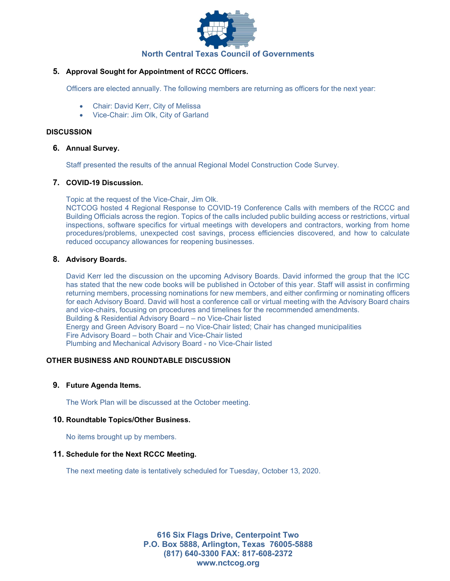

## 5. Approval Sought for Appointment of RCCC Officers.

Officers are elected annually. The following members are returning as officers for the next year:

- Chair: David Kerr, City of Melissa
- Vice-Chair: Jim Olk, City of Garland

### **DISCUSSION**

#### 6. Annual Survey.

Staff presented the results of the annual Regional Model Construction Code Survey.

## 7. COVID-19 Discussion.

Topic at the request of the Vice-Chair, Jim Olk.

NCTCOG hosted 4 Regional Response to COVID-19 Conference Calls with members of the RCCC and Building Officials across the region. Topics of the calls included public building access or restrictions, virtual inspections, software specifics for virtual meetings with developers and contractors, working from home procedures/problems, unexpected cost savings, process efficiencies discovered, and how to calculate reduced occupancy allowances for reopening businesses.

## 8. Advisory Boards.

David Kerr led the discussion on the upcoming Advisory Boards. David informed the group that the ICC has stated that the new code books will be published in October of this year. Staff will assist in confirming returning members, processing nominations for new members, and either confirming or nominating officers for each Advisory Board. David will host a conference call or virtual meeting with the Advisory Board chairs and vice-chairs, focusing on procedures and timelines for the recommended amendments. Building & Residential Advisory Board – no Vice-Chair listed Energy and Green Advisory Board – no Vice-Chair listed; Chair has changed municipalities Fire Advisory Board – both Chair and Vice-Chair listed Plumbing and Mechanical Advisory Board - no Vice-Chair listed

# OTHER BUSINESS AND ROUNDTABLE DISCUSSION

#### 9. Future Agenda Items.

The Work Plan will be discussed at the October meeting.

#### 10. Roundtable Topics/Other Business.

No items brought up by members.

#### 11. Schedule for the Next RCCC Meeting.

The next meeting date is tentatively scheduled for Tuesday, October 13, 2020.

616 Six Flags Drive, Centerpoint Two P.O. Box 5888, Arlington, Texas 76005-5888 (817) 640-3300 FAX: 817-608-2372 www.nctcog.org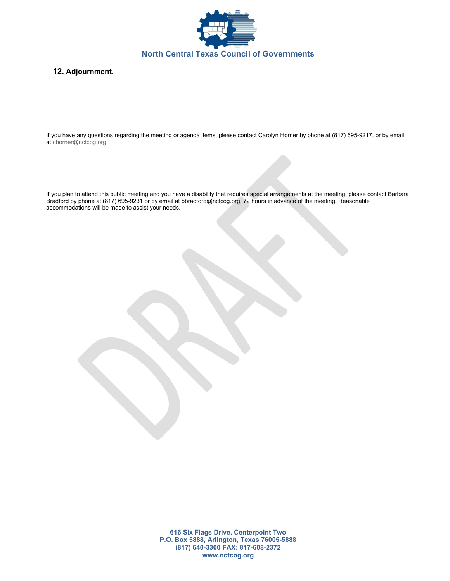

## 12. Adjournment.

If you have any questions regarding the meeting or agenda items, please contact Carolyn Horner by phone at (817) 695-9217, or by email at chorner@nctcog.org.

If you plan to attend this public meeting and you have a disability that requires special arrangements at the meeting, please contact Barbara Bradford by phone at (817) 695-9231 or by email at bbradford@nctcog.org, 72 hours in advance of the meeting. Reasonable accommodations will be made to assist your needs.

> 616 Six Flags Drive, Centerpoint Two P.O. Box 5888, Arlington, Texas 76005-5888 (817) 640-3300 FAX: 817-608-2372 www.nctcog.org